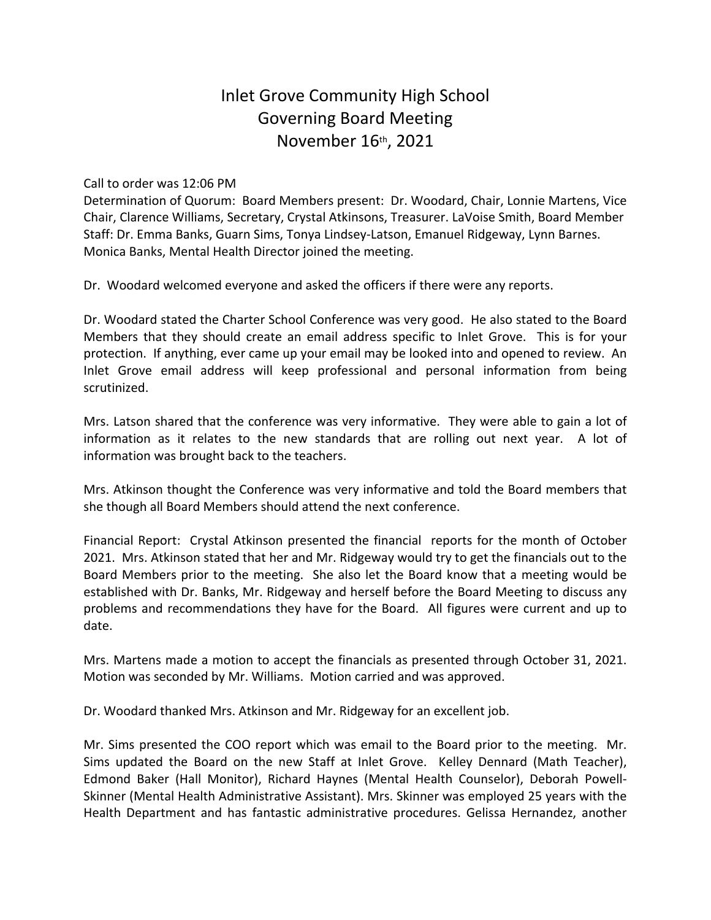## Inlet Grove Community High School Governing Board Meeting November 16th, 2021

## Call to order was 12:06 PM

Determination of Quorum: Board Members present: Dr. Woodard, Chair, Lonnie Martens, Vice Chair, Clarence Williams, Secretary, Crystal Atkinsons, Treasurer. LaVoise Smith, Board Member Staff: Dr. Emma Banks, Guarn Sims, Tonya Lindsey-Latson, Emanuel Ridgeway, Lynn Barnes. Monica Banks, Mental Health Director joined the meeting.

Dr. Woodard welcomed everyone and asked the officers if there were any reports.

Dr. Woodard stated the Charter School Conference was very good. He also stated to the Board Members that they should create an email address specific to Inlet Grove. This is for your protection. If anything, ever came up your email may be looked into and opened to review. An Inlet Grove email address will keep professional and personal information from being scrutinized.

Mrs. Latson shared that the conference was very informative. They were able to gain a lot of information as it relates to the new standards that are rolling out next year. A lot of information was brought back to the teachers.

Mrs. Atkinson thought the Conference was very informative and told the Board members that she though all Board Members should attend the next conference.

Financial Report: Crystal Atkinson presented the financial reports for the month of October 2021. Mrs. Atkinson stated that her and Mr. Ridgeway would try to get the financials out to the Board Members prior to the meeting. She also let the Board know that a meeting would be established with Dr. Banks, Mr. Ridgeway and herself before the Board Meeting to discuss any problems and recommendations they have for the Board. All figures were current and up to date.

Mrs. Martens made a motion to accept the financials as presented through October 31, 2021. Motion was seconded by Mr. Williams. Motion carried and was approved.

Dr. Woodard thanked Mrs. Atkinson and Mr. Ridgeway for an excellent job.

Mr. Sims presented the COO report which was email to the Board prior to the meeting. Mr. Sims updated the Board on the new Staff at Inlet Grove. Kelley Dennard (Math Teacher), Edmond Baker (Hall Monitor), Richard Haynes (Mental Health Counselor), Deborah Powell-Skinner (Mental Health Administrative Assistant). Mrs. Skinner was employed 25 years with the Health Department and has fantastic administrative procedures. Gelissa Hernandez, another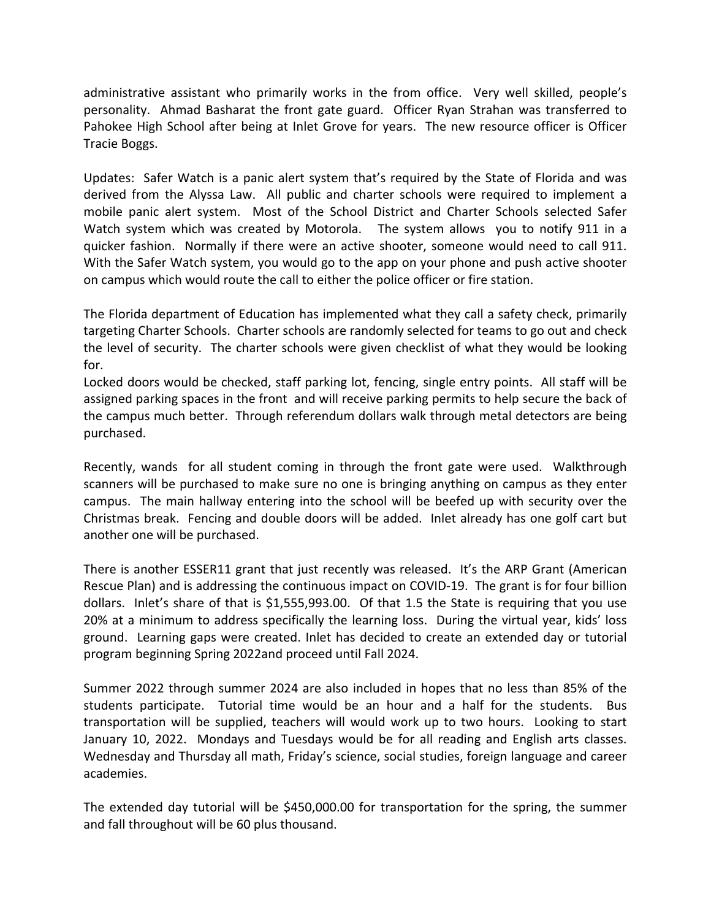administrative assistant who primarily works in the from office. Very well skilled, people's personality. Ahmad Basharat the front gate guard. Officer Ryan Strahan was transferred to Pahokee High School after being at Inlet Grove for years. The new resource officer is Officer Tracie Boggs.

Updates: Safer Watch is a panic alert system that's required by the State of Florida and was derived from the Alyssa Law. All public and charter schools were required to implement a mobile panic alert system. Most of the School District and Charter Schools selected Safer Watch system which was created by Motorola. The system allows you to notify 911 in a quicker fashion. Normally if there were an active shooter, someone would need to call 911. With the Safer Watch system, you would go to the app on your phone and push active shooter on campus which would route the call to either the police officer or fire station.

The Florida department of Education has implemented what they call a safety check, primarily targeting Charter Schools. Charter schools are randomly selected for teams to go out and check the level of security. The charter schools were given checklist of what they would be looking for.

Locked doors would be checked, staff parking lot, fencing, single entry points. All staff will be assigned parking spaces in the front and will receive parking permits to help secure the back of the campus much better. Through referendum dollars walk through metal detectors are being purchased.

Recently, wands for all student coming in through the front gate were used. Walkthrough scanners will be purchased to make sure no one is bringing anything on campus as they enter campus. The main hallway entering into the school will be beefed up with security over the Christmas break. Fencing and double doors will be added. Inlet already has one golf cart but another one will be purchased.

There is another ESSER11 grant that just recently was released. It's the ARP Grant (American Rescue Plan) and is addressing the continuous impact on COVID-19. The grant is for four billion dollars. Inlet's share of that is \$1,555,993.00. Of that 1.5 the State is requiring that you use 20% at a minimum to address specifically the learning loss. During the virtual year, kids' loss ground. Learning gaps were created. Inlet has decided to create an extended day or tutorial program beginning Spring 2022and proceed until Fall 2024.

Summer 2022 through summer 2024 are also included in hopes that no less than 85% of the students participate. Tutorial time would be an hour and a half for the students. Bus transportation will be supplied, teachers will would work up to two hours. Looking to start January 10, 2022. Mondays and Tuesdays would be for all reading and English arts classes. Wednesday and Thursday all math, Friday's science, social studies, foreign language and career academies.

The extended day tutorial will be \$450,000.00 for transportation for the spring, the summer and fall throughout will be 60 plus thousand.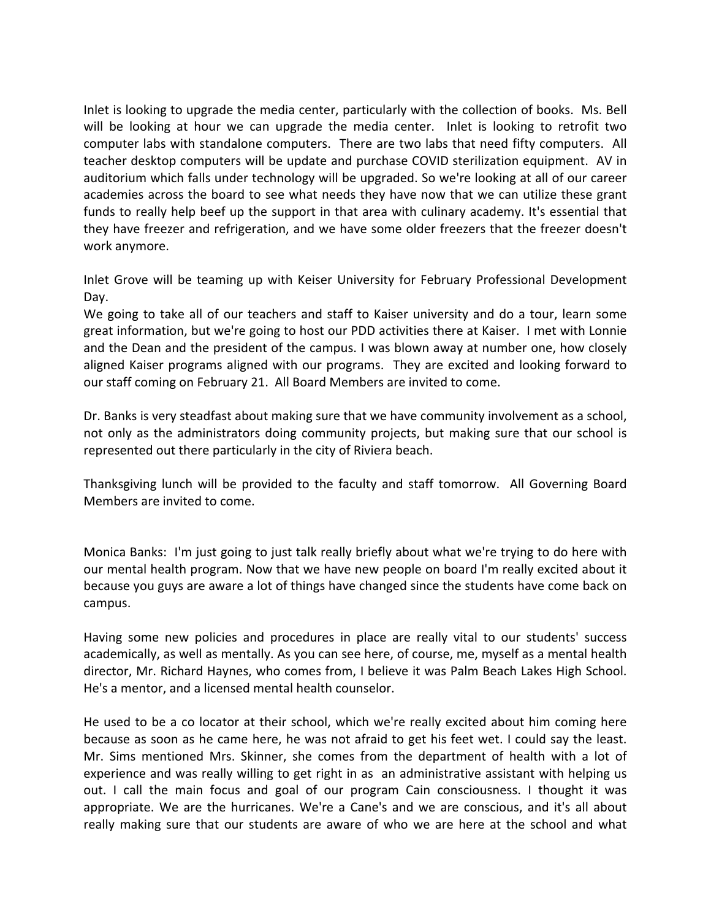Inlet is looking to upgrade the media center, particularly with the collection of books. Ms. Bell will be looking at hour we can upgrade the media center. Inlet is looking to retrofit two computer labs with standalone computers. There are two labs that need fifty computers. All teacher desktop computers will be update and purchase COVID sterilization equipment. AV in auditorium which falls under technology will be upgraded. So we're looking at all of our career academies across the board to see what needs they have now that we can utilize these grant funds to really help beef up the support in that area with culinary academy. It's essential that they have freezer and refrigeration, and we have some older freezers that the freezer doesn't work anymore.

Inlet Grove will be teaming up with Keiser University for February Professional Development Day.

We going to take all of our teachers and staff to Kaiser university and do a tour, learn some great information, but we're going to host our PDD activities there at Kaiser. I met with Lonnie and the Dean and the president of the campus. I was blown away at number one, how closely aligned Kaiser programs aligned with our programs. They are excited and looking forward to our staff coming on February 21. All Board Members are invited to come.

Dr. Banks is very steadfast about making sure that we have community involvement as a school, not only as the administrators doing community projects, but making sure that our school is represented out there particularly in the city of Riviera beach.

Thanksgiving lunch will be provided to the faculty and staff tomorrow. All Governing Board Members are invited to come.

Monica Banks: I'm just going to just talk really briefly about what we're trying to do here with our mental health program. Now that we have new people on board I'm really excited about it because you guys are aware a lot of things have changed since the students have come back on campus.

Having some new policies and procedures in place are really vital to our students' success academically, as well as mentally. As you can see here, of course, me, myself as a mental health director, Mr. Richard Haynes, who comes from, I believe it was Palm Beach Lakes High School. He's a mentor, and a licensed mental health counselor.

He used to be a co locator at their school, which we're really excited about him coming here because as soon as he came here, he was not afraid to get his feet wet. I could say the least. Mr. Sims mentioned Mrs. Skinner, she comes from the department of health with a lot of experience and was really willing to get right in as an administrative assistant with helping us out. I call the main focus and goal of our program Cain consciousness. I thought it was appropriate. We are the hurricanes. We're a Cane's and we are conscious, and it's all about really making sure that our students are aware of who we are here at the school and what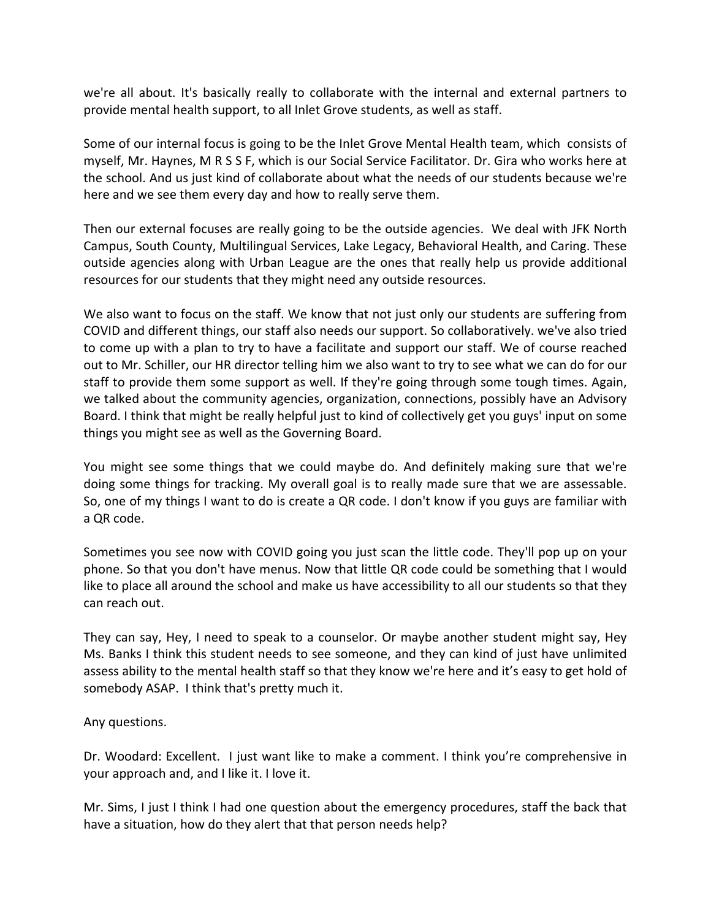we're all about. It's basically really to collaborate with the internal and external partners to provide mental health support, to all Inlet Grove students, as well as staff.

Some of our internal focus is going to be the Inlet Grove Mental Health team, which consists of myself, Mr. Haynes, M R S S F, which is our Social Service Facilitator. Dr. Gira who works here at the school. And us just kind of collaborate about what the needs of our students because we're here and we see them every day and how to really serve them.

Then our external focuses are really going to be the outside agencies. We deal with JFK North Campus, South County, Multilingual Services, Lake Legacy, Behavioral Health, and Caring. These outside agencies along with Urban League are the ones that really help us provide additional resources for our students that they might need any outside resources.

We also want to focus on the staff. We know that not just only our students are suffering from COVID and different things, our staff also needs our support. So collaboratively. we've also tried to come up with a plan to try to have a facilitate and support our staff. We of course reached out to Mr. Schiller, our HR director telling him we also want to try to see what we can do for our staff to provide them some support as well. If they're going through some tough times. Again, we talked about the community agencies, organization, connections, possibly have an Advisory Board. I think that might be really helpful just to kind of collectively get you guys' input on some things you might see as well as the Governing Board.

You might see some things that we could maybe do. And definitely making sure that we're doing some things for tracking. My overall goal is to really made sure that we are assessable. So, one of my things I want to do is create a QR code. I don't know if you guys are familiar with a QR code.

Sometimes you see now with COVID going you just scan the little code. They'll pop up on your phone. So that you don't have menus. Now that little QR code could be something that I would like to place all around the school and make us have accessibility to all our students so that they can reach out.

They can say, Hey, I need to speak to a counselor. Or maybe another student might say, Hey Ms. Banks I think this student needs to see someone, and they can kind of just have unlimited assess ability to the mental health staff so that they know we're here and it's easy to get hold of somebody ASAP. I think that's pretty much it.

Any questions.

Dr. Woodard: Excellent. I just want like to make a comment. I think you're comprehensive in your approach and, and I like it. I love it.

Mr. Sims, I just I think I had one question about the emergency procedures, staff the back that have a situation, how do they alert that that person needs help?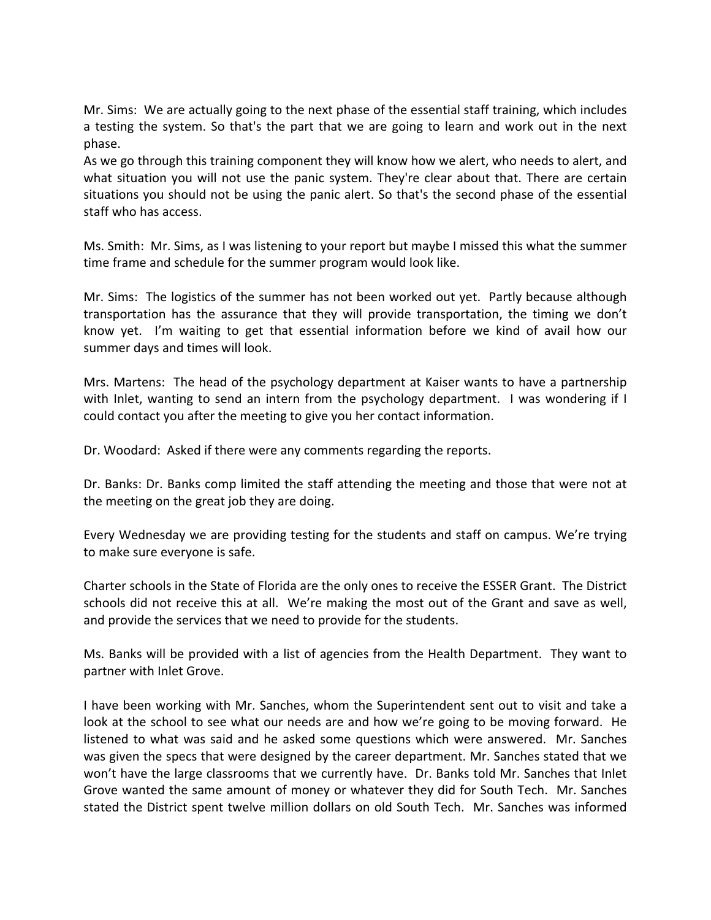Mr. Sims: We are actually going to the next phase of the essential staff training, which includes a testing the system. So that's the part that we are going to learn and work out in the next phase.

As we go through this training component they will know how we alert, who needs to alert, and what situation you will not use the panic system. They're clear about that. There are certain situations you should not be using the panic alert. So that's the second phase of the essential staff who has access.

Ms. Smith: Mr. Sims, as I was listening to your report but maybe I missed this what the summer time frame and schedule for the summer program would look like.

Mr. Sims: The logistics of the summer has not been worked out yet. Partly because although transportation has the assurance that they will provide transportation, the timing we don't know yet. I'm waiting to get that essential information before we kind of avail how our summer days and times will look.

Mrs. Martens: The head of the psychology department at Kaiser wants to have a partnership with Inlet, wanting to send an intern from the psychology department. I was wondering if I could contact you after the meeting to give you her contact information.

Dr. Woodard: Asked if there were any comments regarding the reports.

Dr. Banks: Dr. Banks comp limited the staff attending the meeting and those that were not at the meeting on the great job they are doing.

Every Wednesday we are providing testing for the students and staff on campus. We're trying to make sure everyone is safe.

Charter schools in the State of Florida are the only ones to receive the ESSER Grant. The District schools did not receive this at all. We're making the most out of the Grant and save as well, and provide the services that we need to provide for the students.

Ms. Banks will be provided with a list of agencies from the Health Department. They want to partner with Inlet Grove.

I have been working with Mr. Sanches, whom the Superintendent sent out to visit and take a look at the school to see what our needs are and how we're going to be moving forward. He listened to what was said and he asked some questions which were answered. Mr. Sanches was given the specs that were designed by the career department. Mr. Sanches stated that we won't have the large classrooms that we currently have. Dr. Banks told Mr. Sanches that Inlet Grove wanted the same amount of money or whatever they did for South Tech. Mr. Sanches stated the District spent twelve million dollars on old South Tech. Mr. Sanches was informed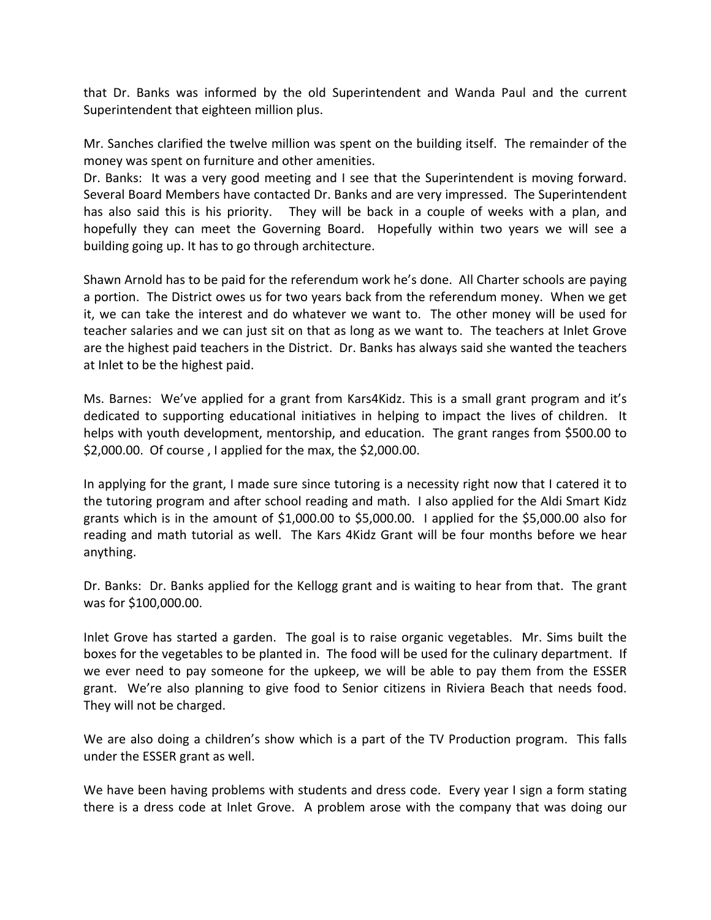that Dr. Banks was informed by the old Superintendent and Wanda Paul and the current Superintendent that eighteen million plus.

Mr. Sanches clarified the twelve million was spent on the building itself. The remainder of the money was spent on furniture and other amenities.

Dr. Banks: It was a very good meeting and I see that the Superintendent is moving forward. Several Board Members have contacted Dr. Banks and are very impressed. The Superintendent has also said this is his priority. They will be back in a couple of weeks with a plan, and hopefully they can meet the Governing Board. Hopefully within two years we will see a building going up. It has to go through architecture.

Shawn Arnold has to be paid for the referendum work he's done. All Charter schools are paying a portion. The District owes us for two years back from the referendum money. When we get it, we can take the interest and do whatever we want to. The other money will be used for teacher salaries and we can just sit on that as long as we want to. The teachers at Inlet Grove are the highest paid teachers in the District. Dr. Banks has always said she wanted the teachers at Inlet to be the highest paid.

Ms. Barnes: We've applied for a grant from Kars4Kidz. This is a small grant program and it's dedicated to supporting educational initiatives in helping to impact the lives of children. It helps with youth development, mentorship, and education. The grant ranges from \$500.00 to \$2,000.00. Of course , I applied for the max, the \$2,000.00.

In applying for the grant, I made sure since tutoring is a necessity right now that I catered it to the tutoring program and after school reading and math. I also applied for the Aldi Smart Kidz grants which is in the amount of \$1,000.00 to \$5,000.00. I applied for the \$5,000.00 also for reading and math tutorial as well. The Kars 4Kidz Grant will be four months before we hear anything.

Dr. Banks: Dr. Banks applied for the Kellogg grant and is waiting to hear from that. The grant was for \$100,000.00.

Inlet Grove has started a garden. The goal is to raise organic vegetables. Mr. Sims built the boxes for the vegetables to be planted in. The food will be used for the culinary department. If we ever need to pay someone for the upkeep, we will be able to pay them from the ESSER grant. We're also planning to give food to Senior citizens in Riviera Beach that needs food. They will not be charged.

We are also doing a children's show which is a part of the TV Production program. This falls under the ESSER grant as well.

We have been having problems with students and dress code. Every year I sign a form stating there is a dress code at Inlet Grove. A problem arose with the company that was doing our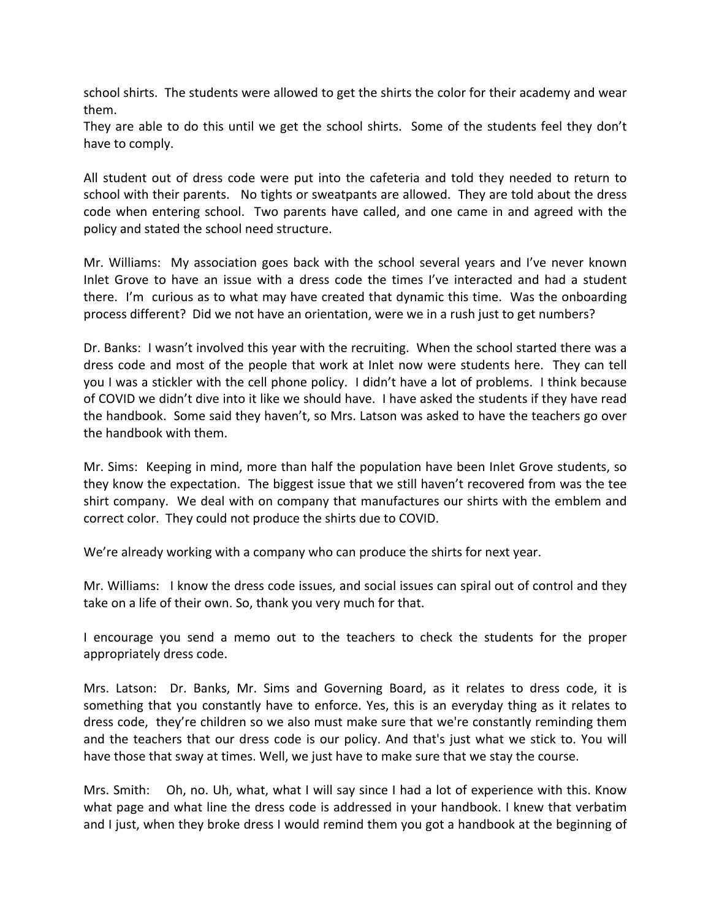school shirts. The students were allowed to get the shirts the color for their academy and wear them.

They are able to do this until we get the school shirts. Some of the students feel they don't have to comply.

All student out of dress code were put into the cafeteria and told they needed to return to school with their parents. No tights or sweatpants are allowed. They are told about the dress code when entering school. Two parents have called, and one came in and agreed with the policy and stated the school need structure.

Mr. Williams: My association goes back with the school several years and I've never known Inlet Grove to have an issue with a dress code the times I've interacted and had a student there. I'm curious as to what may have created that dynamic this time. Was the onboarding process different? Did we not have an orientation, were we in a rush just to get numbers?

Dr. Banks: I wasn't involved this year with the recruiting. When the school started there was a dress code and most of the people that work at Inlet now were students here. They can tell you I was a stickler with the cell phone policy. I didn't have a lot of problems. I think because of COVID we didn't dive into it like we should have. I have asked the students if they have read the handbook. Some said they haven't, so Mrs. Latson was asked to have the teachers go over the handbook with them.

Mr. Sims: Keeping in mind, more than half the population have been Inlet Grove students, so they know the expectation. The biggest issue that we still haven't recovered from was the tee shirt company. We deal with on company that manufactures our shirts with the emblem and correct color. They could not produce the shirts due to COVID.

We're already working with a company who can produce the shirts for next year.

Mr. Williams: I know the dress code issues, and social issues can spiral out of control and they take on a life of their own. So, thank you very much for that.

I encourage you send a memo out to the teachers to check the students for the proper appropriately dress code.

Mrs. Latson: Dr. Banks, Mr. Sims and Governing Board, as it relates to dress code, it is something that you constantly have to enforce. Yes, this is an everyday thing as it relates to dress code, they're children so we also must make sure that we're constantly reminding them and the teachers that our dress code is our policy. And that's just what we stick to. You will have those that sway at times. Well, we just have to make sure that we stay the course.

Mrs. Smith: Oh, no. Uh, what, what I will say since I had a lot of experience with this. Know what page and what line the dress code is addressed in your handbook. I knew that verbatim and I just, when they broke dress I would remind them you got a handbook at the beginning of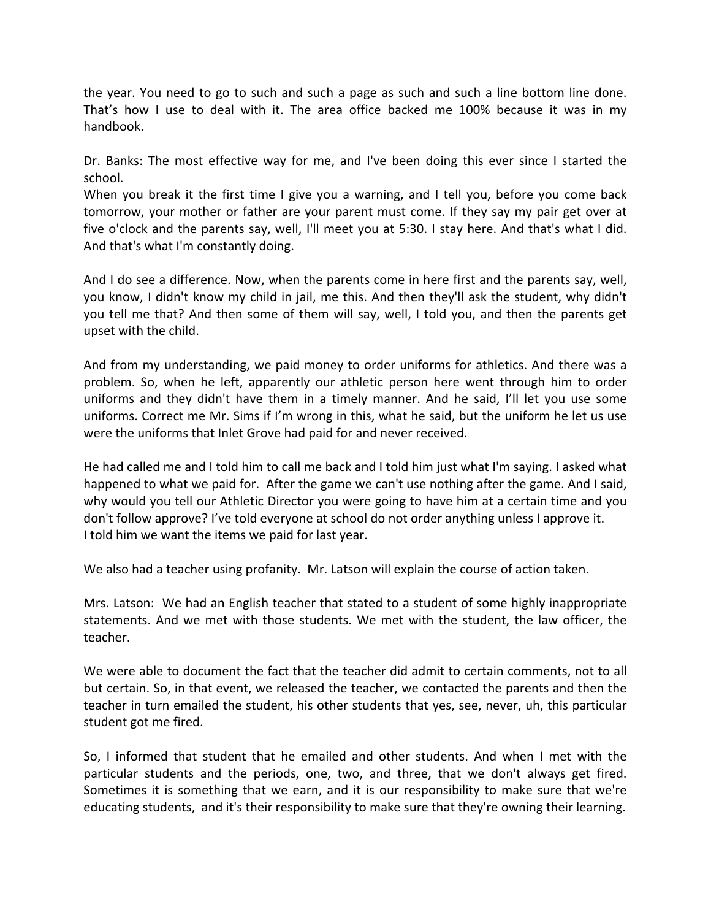the year. You need to go to such and such a page as such and such a line bottom line done. That's how I use to deal with it. The area office backed me 100% because it was in my handbook.

Dr. Banks: The most effective way for me, and I've been doing this ever since I started the school.

When you break it the first time I give you a warning, and I tell you, before you come back tomorrow, your mother or father are your parent must come. If they say my pair get over at five o'clock and the parents say, well, I'll meet you at 5:30. I stay here. And that's what I did. And that's what I'm constantly doing.

And I do see a difference. Now, when the parents come in here first and the parents say, well, you know, I didn't know my child in jail, me this. And then they'll ask the student, why didn't you tell me that? And then some of them will say, well, I told you, and then the parents get upset with the child.

And from my understanding, we paid money to order uniforms for athletics. And there was a problem. So, when he left, apparently our athletic person here went through him to order uniforms and they didn't have them in a timely manner. And he said, I'll let you use some uniforms. Correct me Mr. Sims if I'm wrong in this, what he said, but the uniform he let us use were the uniforms that Inlet Grove had paid for and never received.

He had called me and I told him to call me back and I told him just what I'm saying. I asked what happened to what we paid for. After the game we can't use nothing after the game. And I said, why would you tell our Athletic Director you were going to have him at a certain time and you don't follow approve? I've told everyone at school do not order anything unless I approve it. I told him we want the items we paid for last year.

We also had a teacher using profanity. Mr. Latson will explain the course of action taken.

Mrs. Latson: We had an English teacher that stated to a student of some highly inappropriate statements. And we met with those students. We met with the student, the law officer, the teacher.

We were able to document the fact that the teacher did admit to certain comments, not to all but certain. So, in that event, we released the teacher, we contacted the parents and then the teacher in turn emailed the student, his other students that yes, see, never, uh, this particular student got me fired.

So, I informed that student that he emailed and other students. And when I met with the particular students and the periods, one, two, and three, that we don't always get fired. Sometimes it is something that we earn, and it is our responsibility to make sure that we're educating students, and it's their responsibility to make sure that they're owning their learning.